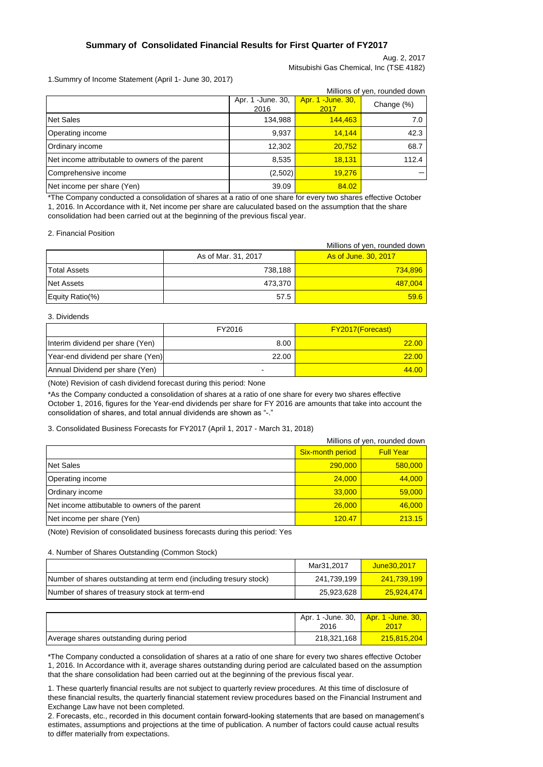### **Summary of Consolidated Financial Results for First Quarter of FY2017**

### Aug. 2, 2017 Mitsubishi Gas Chemical, Inc (TSE 4182)

1.Summry of Income Statement (April 1- June 30, 2017)

| Millions of yen, rounded down                   |                            |                                  |            |  |  |
|-------------------------------------------------|----------------------------|----------------------------------|------------|--|--|
|                                                 | Apr. 1 - June. 30,<br>2016 | <b>Apr. 1 -June. 30,</b><br>2017 | Change (%) |  |  |
| Net Sales                                       | 134,988                    | 144,463                          | 7.0        |  |  |
| Operating income                                | 9,937                      | 14.144                           | 42.3       |  |  |
| Ordinary income                                 | 12,302                     | 20,752                           | 68.7       |  |  |
| Net income attributable to owners of the parent | 8,535                      | 18.131                           | 112.4      |  |  |
| Comprehensive income                            | (2,502)                    | 19.276                           |            |  |  |
| Net income per share (Yen)                      | 39.09                      | 84.02                            |            |  |  |

\*The Company conducted a consolidation of shares at a ratio of one share for every two shares effective October 1, 2016. In Accordance with it, Net income per share are caluculated based on the assumption that the share consolidation had been carried out at the beginning of the previous fiscal year.

2. Financial Position

|                     |                     | Millions of yen, rounded down |
|---------------------|---------------------|-------------------------------|
|                     | As of Mar. 31, 2017 | As of June, 30, 2017          |
| <b>Total Assets</b> | 738.188             | 734,896                       |
| Net Assets          | 473.370             | <b>487,004</b>                |
| Equity Ratio(%)     | 57.5                | 59.6                          |

#### 3. Dividends

|                                   | FY2016                   | <b>FY2017(Forecast)</b> |
|-----------------------------------|--------------------------|-------------------------|
| Interim dividend per share (Yen)  | 8.00                     | 22.00                   |
| Year-end dividend per share (Yen) | 22.00                    | 22.00                   |
| Annual Dividend per share (Yen)   | $\overline{\phantom{a}}$ | 44.00                   |

(Note) Revision of cash dividend forecast during this period: None

\*As the Company conducted a consolidation of shares at a ratio of one share for every two shares effective October 1, 2016, figures for the Year-end dividends per share for FY 2016 are amounts that take into account the consolidation of shares, and total annual dividends are shown as "-'

#### 3. Consolidated Business Forecasts for FY2017 (April 1, 2017 - March 31, 2018)

| Millions of yen, rounded down                  |                         |                  |
|------------------------------------------------|-------------------------|------------------|
|                                                | <b>Six-month period</b> | <b>Full Year</b> |
| Net Sales                                      | 290,000                 | 580,000          |
| Operating income                               | 24,000                  | 44,000           |
| Ordinary income                                | 33,000                  | 59,000           |
| Net income attibutable to owners of the parent | 26,000                  | 46,000           |
| Net income per share (Yen)                     | 120.47                  | 213.15           |

(Note) Revision of consolidated business forecasts during this period: Yes

#### 4. Number of Shares Outstanding (Common Stock)

|                                                                    | Mar31.2017  | June 30.2017       |
|--------------------------------------------------------------------|-------------|--------------------|
| Number of shares outstanding at term end (including tresury stock) | 241.739.199 | <u>241.739.199</u> |
| Number of shares of treasury stock at term-end                     | 25.923.628  | 25.924.474         |

|                                          | Apr. 1 -June. 30, <b>Apr. 1 -June. 30,</b><br>2016 | 2017        |
|------------------------------------------|----------------------------------------------------|-------------|
| Average shares outstanding during period | 218,321,168                                        | 215,815,204 |

\*The Company conducted a consolidation of shares at a ratio of one share for every two shares effective October 1, 2016. In Accordance with it, average shares outstanding during period are calculated based on the assumption that the share consolidation had been carried out at the beginning of the previous fiscal year.

1. These quarterly financial results are not subject to quarterly review procedures. At this time of disclosure of these financial results, the quarterly financial statement review procedures based on the Financial Instrument and Exchange Law have not been completed.

2. Forecasts, etc., recorded in this document contain forward-looking statements that are based on management's estimates, assumptions and projections at the time of publication. A number of factors could cause actual results to differ materially from expectations.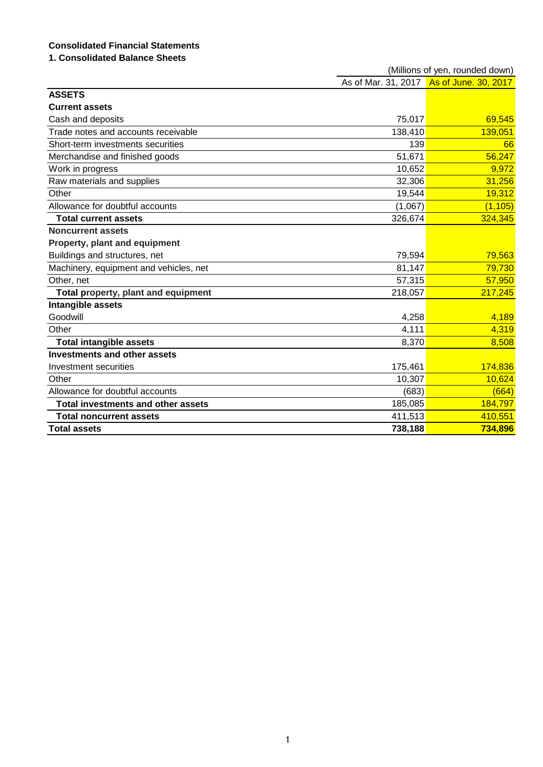# **Consolidated Financial Statements**

# **1. Consolidated Balance Sheets**

|                                           | (Millions of yen, rounded down) |                                          |  |  |
|-------------------------------------------|---------------------------------|------------------------------------------|--|--|
|                                           |                                 | As of Mar. 31, 2017 As of June. 30, 2017 |  |  |
| <b>ASSETS</b>                             |                                 |                                          |  |  |
| <b>Current assets</b>                     |                                 |                                          |  |  |
| Cash and deposits                         | 75,017                          | 69,545                                   |  |  |
| Trade notes and accounts receivable       | 138,410                         | 139,051                                  |  |  |
| Short-term investments securities         | 139                             | 66                                       |  |  |
| Merchandise and finished goods            | 51,671                          | 56,247                                   |  |  |
| Work in progress                          | 10,652                          | 9,972                                    |  |  |
| Raw materials and supplies                | 32,306                          | 31,256                                   |  |  |
| Other                                     | 19,544                          | 19,312                                   |  |  |
| Allowance for doubtful accounts           | (1,067)                         | (1, 105)                                 |  |  |
| <b>Total current assets</b>               | 326,674                         | 324,345                                  |  |  |
| <b>Noncurrent assets</b>                  |                                 |                                          |  |  |
| Property, plant and equipment             |                                 |                                          |  |  |
| Buildings and structures, net             | 79,594                          | 79,563                                   |  |  |
| Machinery, equipment and vehicles, net    | 81,147                          | 79,730                                   |  |  |
| Other, net                                | 57,315                          | 57,950                                   |  |  |
| Total property, plant and equipment       | 218,057                         | 217,245                                  |  |  |
| Intangible assets                         |                                 |                                          |  |  |
| Goodwill                                  | 4,258                           | 4,189                                    |  |  |
| Other                                     | 4,111                           | 4,319                                    |  |  |
| <b>Total intangible assets</b>            | 8,370                           | 8,508                                    |  |  |
| <b>Investments and other assets</b>       |                                 |                                          |  |  |
| Investment securities                     | 175,461                         | 174,836                                  |  |  |
| Other                                     | 10,307                          | 10,624                                   |  |  |
| Allowance for doubtful accounts           | (683)                           | (664)                                    |  |  |
| <b>Total investments and other assets</b> | 185,085                         | 184,797                                  |  |  |
| <b>Total noncurrent assets</b>            | 411,513                         | 410,551                                  |  |  |
| <b>Total assets</b>                       | 738,188                         | 734,896                                  |  |  |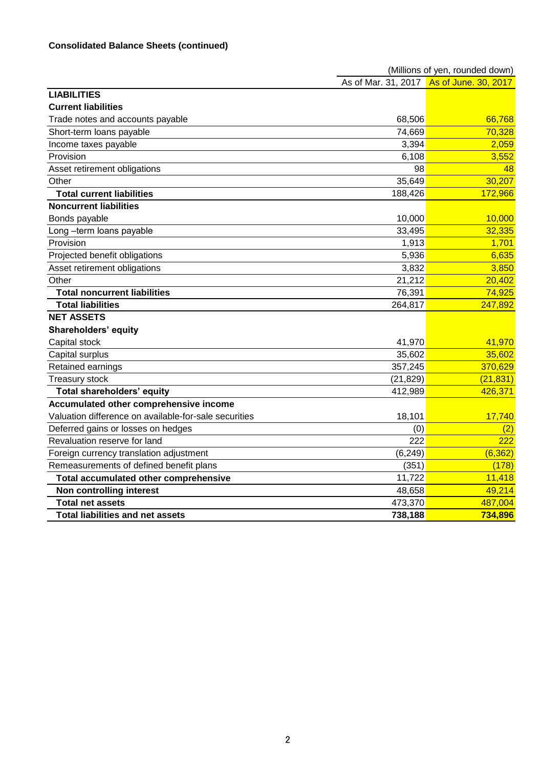|                                                       | (Millions of yen, rounded down) |                                          |  |  |
|-------------------------------------------------------|---------------------------------|------------------------------------------|--|--|
|                                                       |                                 | As of Mar. 31, 2017 As of June. 30, 2017 |  |  |
| <b>LIABILITIES</b>                                    |                                 |                                          |  |  |
| <b>Current liabilities</b>                            |                                 |                                          |  |  |
| Trade notes and accounts payable                      | 68,506                          | 66,768                                   |  |  |
| Short-term loans payable                              | 74,669                          | 70,328                                   |  |  |
| Income taxes payable                                  | 3,394                           | 2,059                                    |  |  |
| Provision                                             | 6,108                           | 3,552                                    |  |  |
| Asset retirement obligations                          | 98                              | 48                                       |  |  |
| Other                                                 | 35,649                          | 30,207                                   |  |  |
| <b>Total current liabilities</b>                      | 188,426                         | 172,966                                  |  |  |
| <b>Noncurrent liabilities</b>                         |                                 |                                          |  |  |
| Bonds payable                                         | 10,000                          | 10,000                                   |  |  |
| Long-term loans payable                               | 33,495                          | 32,335                                   |  |  |
| Provision                                             | 1,913                           | 1,701                                    |  |  |
| Projected benefit obligations                         | 5,936                           | 6,635                                    |  |  |
| Asset retirement obligations                          | 3,832                           | 3,850                                    |  |  |
| Other                                                 | 21,212                          | 20,402                                   |  |  |
| <b>Total noncurrent liabilities</b>                   | 76,391                          | 74,925                                   |  |  |
| <b>Total liabilities</b>                              | 264,817                         | 247,892                                  |  |  |
| <b>NET ASSETS</b>                                     |                                 |                                          |  |  |
| <b>Shareholders' equity</b>                           |                                 |                                          |  |  |
| Capital stock                                         | 41,970                          | 41,970                                   |  |  |
| Capital surplus                                       | 35,602                          | 35,602                                   |  |  |
| Retained earnings                                     | 357,245                         | 370,629                                  |  |  |
| <b>Treasury stock</b>                                 | (21, 829)                       | (21, 831)                                |  |  |
| <b>Total shareholders' equity</b>                     | 412,989                         | 426,371                                  |  |  |
| Accumulated other comprehensive income                |                                 |                                          |  |  |
| Valuation difference on available-for-sale securities | 18,101                          | 17,740                                   |  |  |
| Deferred gains or losses on hedges                    | (0)                             | (2)                                      |  |  |
| Revaluation reserve for land                          | 222                             | 222                                      |  |  |
| Foreign currency translation adjustment               | (6, 249)                        | (6, 362)                                 |  |  |
| Remeasurements of defined benefit plans               | (351)                           | (178)                                    |  |  |
| Total accumulated other comprehensive                 | 11,722                          | 11,418                                   |  |  |
| <b>Non controlling interest</b>                       | 48,658                          | 49,214                                   |  |  |
| <b>Total net assets</b>                               | 473,370                         | 487,004                                  |  |  |
| <b>Total liabilities and net assets</b>               | 738,188                         | 734,896                                  |  |  |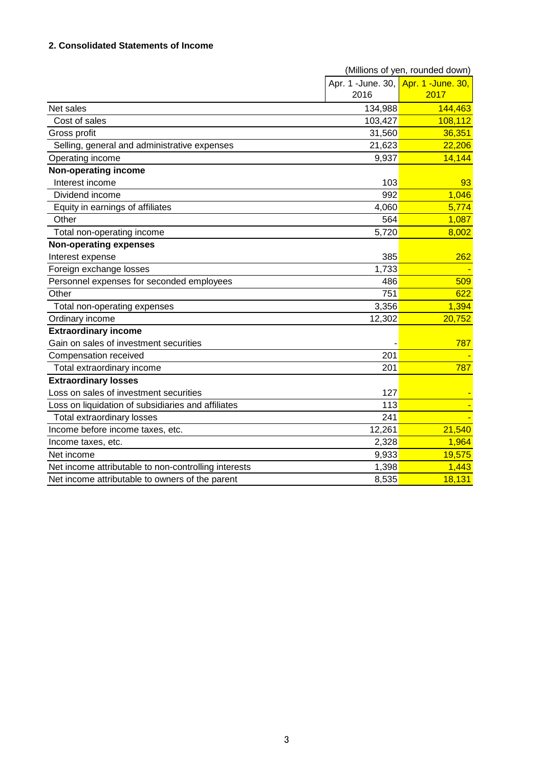## **2. Consolidated Statements of Income**

|                                                      | (Millions of yen, rounded down) |                                     |  |
|------------------------------------------------------|---------------------------------|-------------------------------------|--|
|                                                      |                                 | Apr. 1 -June. 30, Apr. 1 -June. 30, |  |
|                                                      | 2016                            | 2017                                |  |
| Net sales                                            | 134,988                         | 144,463                             |  |
| Cost of sales                                        | 103,427                         | 108,112                             |  |
| Gross profit                                         | 31,560                          | 36,351                              |  |
| Selling, general and administrative expenses         | 21,623                          | 22,206                              |  |
| Operating income                                     | 9,937                           | 14,144                              |  |
| Non-operating income                                 |                                 |                                     |  |
| Interest income                                      | 103                             | 93                                  |  |
| Dividend income                                      | 992                             | 1,046                               |  |
| Equity in earnings of affiliates                     | 4,060                           | 5,774                               |  |
| Other                                                | 564                             | 1,087                               |  |
| Total non-operating income                           | 5,720                           | 8,002                               |  |
| <b>Non-operating expenses</b>                        |                                 |                                     |  |
| Interest expense                                     | 385                             | 262                                 |  |
| Foreign exchange losses                              | 1,733                           |                                     |  |
| Personnel expenses for seconded employees            | 486                             | 509                                 |  |
| Other                                                | 751                             | 622                                 |  |
| Total non-operating expenses                         | 3,356                           | 1,394                               |  |
| Ordinary income                                      | 12,302                          | 20,752                              |  |
| <b>Extraordinary income</b>                          |                                 |                                     |  |
| Gain on sales of investment securities               |                                 | 787                                 |  |
| Compensation received                                | 201                             |                                     |  |
| Total extraordinary income                           | 201                             | 787                                 |  |
| <b>Extraordinary losses</b>                          |                                 |                                     |  |
| Loss on sales of investment securities               | 127                             |                                     |  |
| Loss on liquidation of subsidiaries and affiliates   | 113                             |                                     |  |
| <b>Total extraordinary losses</b>                    | 241                             |                                     |  |
| Income before income taxes, etc.                     | 12,261                          | 21,540                              |  |
| Income taxes, etc.                                   | 2,328                           | 1,964                               |  |
| Net income                                           | 9.933                           | 19,575                              |  |
| Net income attributable to non-controlling interests | 1,398                           | 1,443                               |  |
| Net income attributable to owners of the parent      | 8,535                           | 18,131                              |  |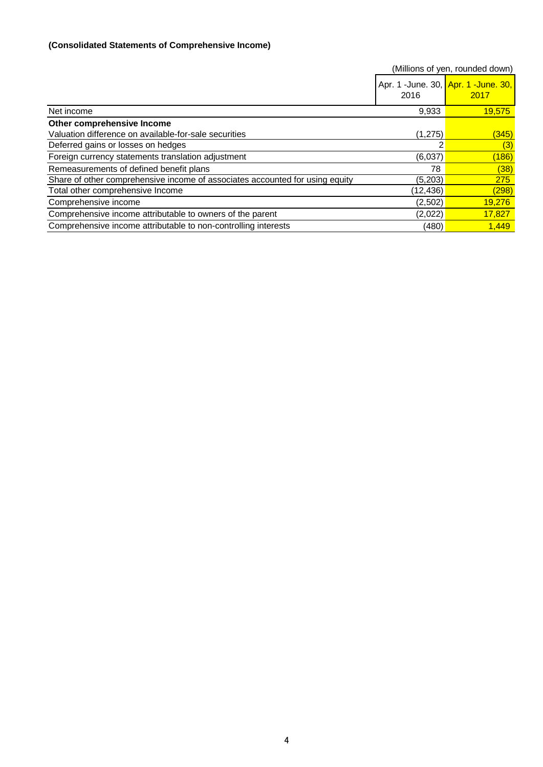# **(Consolidated Statements of Comprehensive Income)**

|                                                                              |           | (Millions of yen, rounded down)             |
|------------------------------------------------------------------------------|-----------|---------------------------------------------|
|                                                                              | 2016      | Apr. 1 -June. 30, Apr. 1 -June. 30,<br>2017 |
| Net income                                                                   | 9,933     | <b>19,575</b>                               |
| Other comprehensive Income                                                   |           |                                             |
| Valuation difference on available-for-sale securities                        | (1,275)   | (345)                                       |
| Deferred gains or losses on hedges                                           |           | (3)                                         |
| Foreign currency statements translation adjustment                           | (6,037)   | (186)                                       |
| Remeasurements of defined benefit plans                                      | 78        | (38)                                        |
| Share of other comprehensive income of associates accounted for using equity | (5,203)   | 275                                         |
| Total other comprehensive Income                                             | (12, 436) | (298)                                       |
| Comprehensive income                                                         | (2,502)   | 19,276                                      |
| Comprehensive income attributable to owners of the parent                    | (2,022)   | 17,827                                      |
| Comprehensive income attributable to non-controlling interests               | (480)     | 1.449                                       |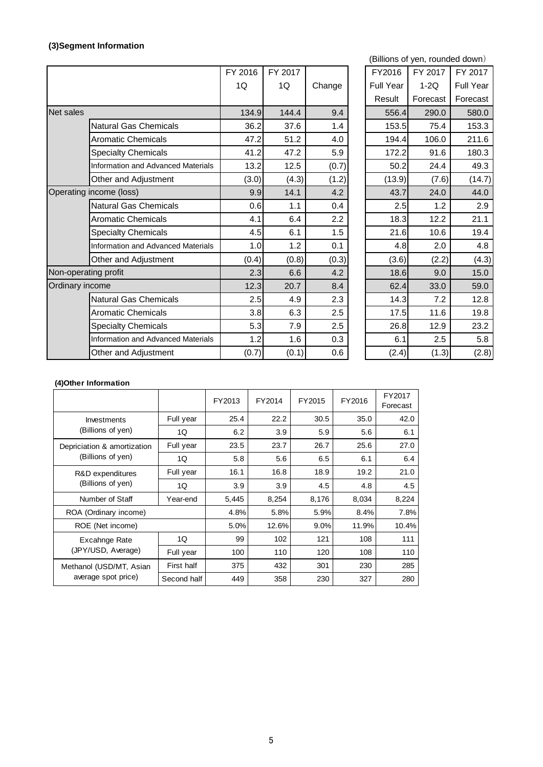# **(3)Segment Information**

|                  |                                           | FY 2016 | FY 2017 |        | FY2016    | FY 2017  | FY 2017   |
|------------------|-------------------------------------------|---------|---------|--------|-----------|----------|-----------|
|                  |                                           | 1Q      | 1Q      | Change | Full Year | $1-2Q$   | Full Year |
|                  |                                           |         |         |        | Result    | Forecast | Forecast  |
| <b>Net sales</b> |                                           | 134.9   | 144.4   | 9.4    | 556.4     | 290.0    | 580.0     |
|                  | <b>Natural Gas Chemicals</b>              | 36.2    | 37.6    | 1.4    | 153.5     | 75.4     | 153.3     |
|                  | <b>Aromatic Chemicals</b>                 | 47.2    | 51.2    | 4.0    | 194.4     | 106.0    | 211.6     |
|                  | <b>Specialty Chemicals</b>                | 41.2    | 47.2    | 5.9    | 172.2     | 91.6     | 180.3     |
|                  | Information and Advanced Materials        | 13.2    | 12.5    | (0.7)  | 50.2      | 24.4     | 49.3      |
|                  | Other and Adjustment                      | (3.0)   | (4.3)   | (1.2)  | (13.9)    | (7.6)    | (14.7)    |
|                  | Operating income (loss)                   | 9.9     | 14.1    | 4.2    | 43.7      | 24.0     | 44.0      |
|                  | <b>Natural Gas Chemicals</b>              | 0.6     | 1.1     | 0.4    | 2.5       | 1.2      | 2.9       |
|                  | <b>Aromatic Chemicals</b>                 | 4.1     | 6.4     | 2.2    | 18.3      | 12.2     | 21.1      |
|                  | <b>Specialty Chemicals</b>                | 4.5     | 6.1     | 1.5    | 21.6      | 10.6     | 19.4      |
|                  | <b>Information and Advanced Materials</b> | 1.0     | 1.2     | 0.1    | 4.8       | 2.0      | 4.8       |
|                  | Other and Adjustment                      | (0.4)   | (0.8)   | (0.3)  | (3.6)     | (2.2)    | (4.3)     |
|                  | Non-operating profit                      | 2.3     | 6.6     | 4.2    | 18.6      | 9.0      | 15.0      |
| Ordinary income  |                                           | 12.3    | 20.7    | 8.4    | 62.4      | 33.0     | 59.0      |
|                  | <b>Natural Gas Chemicals</b>              | 2.5     | 4.9     | 2.3    | 14.3      | 7.2      | 12.8      |
|                  | <b>Aromatic Chemicals</b>                 | 3.8     | 6.3     | 2.5    | 17.5      | 11.6     | 19.8      |
|                  | <b>Specialty Chemicals</b>                | 5.3     | 7.9     | 2.5    | 26.8      | 12.9     | 23.2      |
|                  | Information and Advanced Materials        | 1.2     | 1.6     | 0.3    | 6.1       | 2.5      | 5.8       |
|                  | Other and Adjustment                      | (0.7)   | (0.1)   | 0.6    | (2.4)     | (1.3)    | (2.8)     |

|       |         |        |  |                  | (Billions of yen, rounded down) |                  |
|-------|---------|--------|--|------------------|---------------------------------|------------------|
| 2016  | FY 2017 |        |  | FY2016           | FY 2017                         | FY 2017          |
| 1Q    | 1Q      | Change |  | <b>Full Year</b> | $1-2Q$                          | <b>Full Year</b> |
|       |         |        |  | Result           | Forecast                        | Forecast         |
| 134.9 | 144.4   | 9.4    |  | 556.4            | 290.0                           | 580.0            |
| 36.2  | 37.6    | 1.4    |  | 153.5            | 75.4                            | 153.3            |
| 47.2  | 51.2    | 4.0    |  | 194.4            | 106.0                           | 211.6            |
| 41.2  | 47.2    | 5.9    |  | 172.2            | 91.6                            | 180.3            |
| 13.2  | 12.5    | (0.7)  |  | 50.2             | 24.4                            | 49.3             |
| (3.0) | (4.3)   | (1.2)  |  | (13.9)           | (7.6)                           | (14.7)           |
| 9.9   | 14.1    | 4.2    |  | 43.7             | 24.0                            | 44.0             |
| 0.6   | 1.1     | 0.4    |  | 2.5              | 1.2                             | 2.9              |
| 4.1   | 6.4     | 2.2    |  | 18.3             | 12.2                            | 21.1             |
| 4.5   | 6.1     | 1.5    |  | 21.6             | 10.6                            | 19.4             |
| 1.0   | 1.2     | 0.1    |  | 4.8              | 2.0                             | 4.8              |
| (0.4) | (0.8)   | (0.3)  |  | (3.6)            | (2.2)                           | (4.3)            |
| 2.3   | 6.6     | 4.2    |  | 18.6             | 9.0                             | 15.0             |
| 12.3  | 20.7    | 8.4    |  | 62.4             | 33.0                            | 59.0             |
| 2.5   | 4.9     | 2.3    |  | 14.3             | 7.2                             | 12.8             |
| 3.8   | 6.3     | 2.5    |  | 17.5             | 11.6                            | 19.8             |
| 5.3   | 7.9     | 2.5    |  | 26.8             | 12.9                            | 23.2             |
| 1.2   | 1.6     | 0.3    |  | 6.1              | 2.5                             | 5.8              |
| (0.7) | (0.1)   | 0.6    |  | (2.4)            | (1.3)                           | (2.8)            |

#### **(4)Other Information**

|                                                |             | FY2013 | FY2014 | FY2015 | FY2016 | FY2017<br>Forecast |
|------------------------------------------------|-------------|--------|--------|--------|--------|--------------------|
| Investments                                    | Full year   | 25.4   | 22.2   | 30.5   | 35.0   | 42.0               |
| (Billions of yen)                              | 1Q          | 6.2    | 3.9    | 5.9    | 5.6    | 6.1                |
| Depriciation & amortization                    | Full year   | 23.5   | 23.7   | 26.7   | 25.6   | 27.0               |
| (Billions of yen)                              | 1Q          | 5.8    | 5.6    | 6.5    | 6.1    | 6.4                |
| R&D expenditures<br>(Billions of yen)          | Full year   | 16.1   | 16.8   | 18.9   | 19.2   | 21.0               |
|                                                | 1Q          | 3.9    | 3.9    | 4.5    | 4.8    | 4.5                |
| Number of Staff                                | Year-end    | 5,445  | 8,254  | 8,176  | 8,034  | 8,224              |
| ROA (Ordinary income)                          |             | 4.8%   | 5.8%   | 5.9%   | 8.4%   | 7.8%               |
| ROE (Net income)                               |             | 5.0%   | 12.6%  | 9.0%   | 11.9%  | 10.4%              |
| Excahnge Rate<br>(JPY/USD, Average)            | 1Q          | 99     | 102    | 121    | 108    | 111                |
|                                                | Full year   | 100    | 110    | 120    | 108    | 110                |
| Methanol (USD/MT, Asian<br>average spot price) | First half  | 375    | 432    | 301    | 230    | 285                |
|                                                | Second half | 449    | 358    | 230    | 327    | 280                |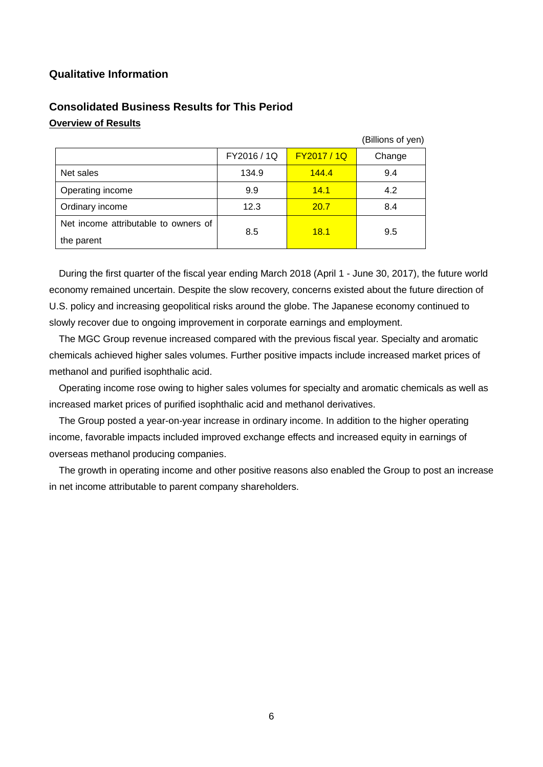# **Qualitative Information**

# **Consolidated Business Results for This Period Overview of Results**

|                                                    |             |             | (Billions of yen) |
|----------------------------------------------------|-------------|-------------|-------------------|
|                                                    | FY2016 / 1Q | FY2017 / 1Q | Change            |
| Net sales                                          | 134.9       | 144.4       | 9.4               |
| Operating income                                   | 9.9         | 14.1        | 4.2               |
| Ordinary income                                    | 12.3        | 20.7        | 8.4               |
| Net income attributable to owners of<br>the parent | 8.5         | 18.1        | 9.5               |

During the first quarter of the fiscal year ending March 2018 (April 1 - June 30, 2017), the future world economy remained uncertain. Despite the slow recovery, concerns existed about the future direction of U.S. policy and increasing geopolitical risks around the globe. The Japanese economy continued to slowly recover due to ongoing improvement in corporate earnings and employment.

The MGC Group revenue increased compared with the previous fiscal year. Specialty and aromatic chemicals achieved higher sales volumes. Further positive impacts include increased market prices of methanol and purified isophthalic acid.

Operating income rose owing to higher sales volumes for specialty and aromatic chemicals as well as increased market prices of purified isophthalic acid and methanol derivatives.

The Group posted a year-on-year increase in ordinary income. In addition to the higher operating income, favorable impacts included improved exchange effects and increased equity in earnings of overseas methanol producing companies.

The growth in operating income and other positive reasons also enabled the Group to post an increase in net income attributable to parent company shareholders.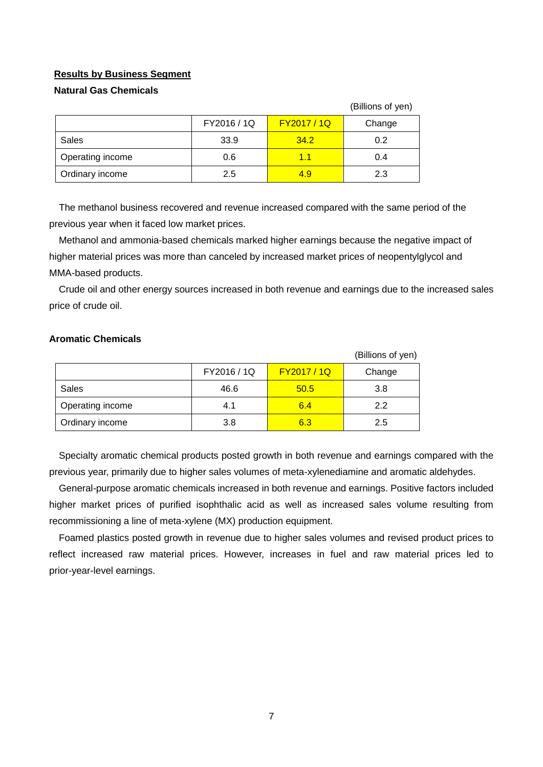### **Results by Business Segment**

## **Natural Gas Chemicals**

|                  |             |             | (Billions of yen) |
|------------------|-------------|-------------|-------------------|
|                  | FY2016 / 1Q | FY2017 / 1Q | Change            |
| Sales            | 33.9        | 34.2        | 0.2               |
| Operating income | 0.6         | 1.1         | 0.4               |
| Ordinary income  | 2.5         | 4.9         | 2.3               |

The methanol business recovered and revenue increased compared with the same period of the previous year when it faced low market prices.

Methanol and ammonia-based chemicals marked higher earnings because the negative impact of higher material prices was more than canceled by increased market prices of neopentylglycol and MMA-based products.

Crude oil and other energy sources increased in both revenue and earnings due to the increased sales price of crude oil.

### **Aromatic Chemicals**

|                  |             |             | (Billions of yen) |
|------------------|-------------|-------------|-------------------|
|                  | FY2016 / 1Q | FY2017 / 1Q | Change            |
| Sales            | 46.6        | 50.5        | 3.8               |
| Operating income | 4.1         | 6.4         | 2.2               |
| Ordinary income  | 3.8         | 6.3         | 2.5               |

Specialty aromatic chemical products posted growth in both revenue and earnings compared with the previous year, primarily due to higher sales volumes of meta-xylenediamine and aromatic aldehydes.

General-purpose aromatic chemicals increased in both revenue and earnings. Positive factors included higher market prices of purified isophthalic acid as well as increased sales volume resulting from recommissioning a line of meta-xylene (MX) production equipment.

Foamed plastics posted growth in revenue due to higher sales volumes and revised product prices to reflect increased raw material prices. However, increases in fuel and raw material prices led to prior-year-level earnings.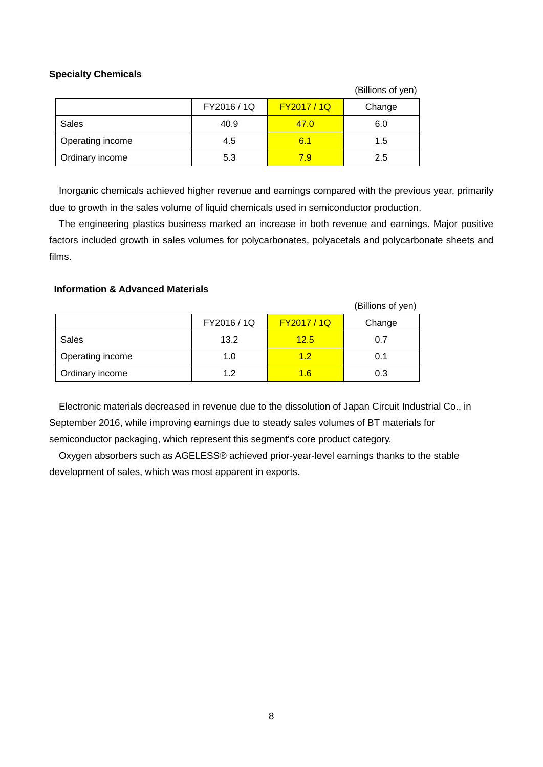## **Specialty Chemicals**

|                  |             |             | (Billions of yen) |
|------------------|-------------|-------------|-------------------|
|                  | FY2016 / 1Q | FY2017 / 1Q | Change            |
| Sales            | 40.9        | 47.0        | 6.0               |
| Operating income | 4.5         | 6.1         | 1.5               |
| Ordinary income  | 5.3         | 7.9         | 2.5               |

Inorganic chemicals achieved higher revenue and earnings compared with the previous year, primarily due to growth in the sales volume of liquid chemicals used in semiconductor production.

The engineering plastics business marked an increase in both revenue and earnings. Major positive factors included growth in sales volumes for polycarbonates, polyacetals and polycarbonate sheets and films.

### **Information & Advanced Materials**

|                  |             |             | (Billions of yen) |
|------------------|-------------|-------------|-------------------|
|                  | FY2016 / 1Q | FY2017 / 1Q | Change            |
| <b>Sales</b>     | 13.2        | 12.5        | 0.7               |
| Operating income | 1.0         | 12          | 0.1               |
| Ordinary income  | 1.2         | 1.6         | 0.3               |

Electronic materials decreased in revenue due to the dissolution of Japan Circuit Industrial Co., in September 2016, while improving earnings due to steady sales volumes of BT materials for semiconductor packaging, which represent this segment's core product category.

Oxygen absorbers such as AGELESS® achieved prior-year-level earnings thanks to the stable development of sales, which was most apparent in exports.